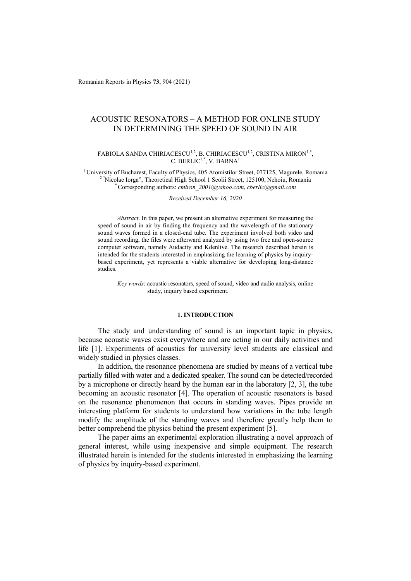Romanian Reports in Physics **73**, 904 (2021)

# ACOUSTIC RESONATORS – A METHOD FOR ONLINE STUDY IN DETERMINING THE SPEED OF SOUND IN AIR

#### FABIOLA SANDA CHIRIACESCU<sup>1,2</sup>, B. CHIRIACESCU<sup>1,2</sup>, CRISTINA MIRON<sup>1,\*</sup>, C. BERLIC<sup>1,\*</sup>, V. BARNA<sup>1</sup>

<sup>1</sup> University of Bucharest, Faculty of Physics, 405 Atomistilor Street, 077125, Magurele, Romania <sup>2 "</sup>Nicolae Iorga", Theoretical High School 1 Scolii Street, 125100, Nehoiu, Romania \* Corresponding authors: *cmiron* 2001@yahoo.com, *cberlic@gmail.com* 

#### *Received December 16, 2020*

*Abstract*. In this paper, we present an alternative experiment for measuring the speed of sound in air by finding the frequency and the wavelength of the stationary sound waves formed in a closed-end tube. The experiment involved both video and sound recording, the files were afterward analyzed by using two free and open-source computer software, namely Audacity and Kdenlive. The research described herein is intended for the students interested in emphasizing the learning of physics by inquirybased experiment, yet represents a viable alternative for developing long-distance studies.

*Key words*: acoustic resonators, speed of sound, video and audio analysis, online study, inquiry based experiment.

# **1. INTRODUCTION**

The study and understanding of sound is an important topic in physics, because acoustic waves exist everywhere and are acting in our daily activities and life [1]. Experiments of acoustics for university level students are classical and widely studied in physics classes.

In addition, the resonance phenomena are studied by means of a vertical tube partially filled with water and a dedicated speaker. The sound can be detected/recorded by a microphone or directly heard by the human ear in the laboratory [2, 3], the tube becoming an acoustic resonator [4]. The operation of acoustic resonators is based on the resonance phenomenon that occurs in standing waves. Pipes provide an interesting platform for students to understand how variations in the tube length modify the amplitude of the standing waves and therefore greatly help them to better comprehend the physics behind the present experiment [5].

The paper aims an experimental exploration illustrating a novel approach of general interest, while using inexpensive and simple equipment. The research illustrated herein is intended for the students interested in emphasizing the learning of physics by inquiry-based experiment.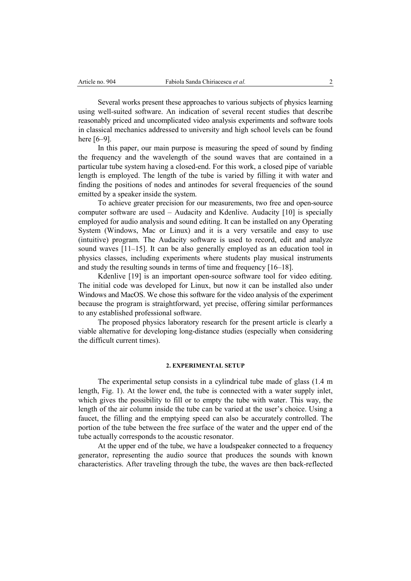Several works present these approaches to various subjects of physics learning using well-suited software. An indication of several recent studies that describe reasonably priced and uncomplicated video analysis experiments and software tools in classical mechanics addressed to university and high school levels can be found here [6–9].

In this paper, our main purpose is measuring the speed of sound by finding the frequency and the wavelength of the sound waves that are contained in a particular tube system having a closed-end. For this work, a closed pipe of variable length is employed. The length of the tube is varied by filling it with water and finding the positions of nodes and antinodes for several frequencies of the sound emitted by a speaker inside the system.

To achieve greater precision for our measurements, two free and open-source computer software are used – Audacity and Kdenlive. Audacity [10] is specially employed for audio analysis and sound editing. It can be installed on any Operating System (Windows, Mac or Linux) and it is a very versatile and easy to use (intuitive) program. The Audacity software is used to record, edit and analyze sound waves [11–15]. It can be also generally employed as an education tool in physics classes, including experiments where students play musical instruments and study the resulting sounds in terms of time and frequency [16–18].

Kdenlive [19] is an important open-source software tool for video editing. The initial code was developed for Linux, but now it can be installed also under Windows and MacOS. We chose this software for the video analysis of the experiment because the program is straightforward, yet precise, offering similar performances to any established professional software.

The proposed physics laboratory research for the present article is clearly a viable alternative for developing long-distance studies (especially when considering the difficult current times).

### **2. EXPERIMENTAL SETUP**

The experimental setup consists in a cylindrical tube made of glass (1.4 m length, Fig. 1). At the lower end, the tube is connected with a water supply inlet, which gives the possibility to fill or to empty the tube with water. This way, the length of the air column inside the tube can be varied at the user's choice. Using a faucet, the filling and the emptying speed can also be accurately controlled. The portion of the tube between the free surface of the water and the upper end of the tube actually corresponds to the acoustic resonator.

At the upper end of the tube, we have a loudspeaker connected to a frequency generator, representing the audio source that produces the sounds with known characteristics. After traveling through the tube, the waves are then back-reflected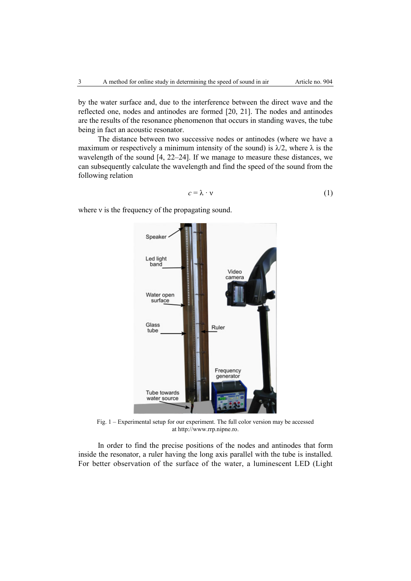by the water surface and, due to the interference between the direct wave and the reflected one, nodes and antinodes are formed [20, 21]. The nodes and antinodes are the results of the resonance phenomenon that occurs in standing waves, the tube being in fact an acoustic resonator.

The distance between two successive nodes or antinodes (where we have a maximum or respectively a minimum intensity of the sound) is  $\lambda/2$ , where  $\lambda$  is the wavelength of the sound [4, 22–24]. If we manage to measure these distances, we can subsequently calculate the wavelength and find the speed of the sound from the following relation

$$
c = \lambda \cdot \nu \tag{1}
$$

where *v* is the frequency of the propagating sound.



Fig. 1 – Experimental setup for our experiment. The full color version may be accessed at http://www.rrp.nipne.ro.

In order to find the precise positions of the nodes and antinodes that form inside the resonator, a ruler having the long axis parallel with the tube is installed. For better observation of the surface of the water, a luminescent LED (Light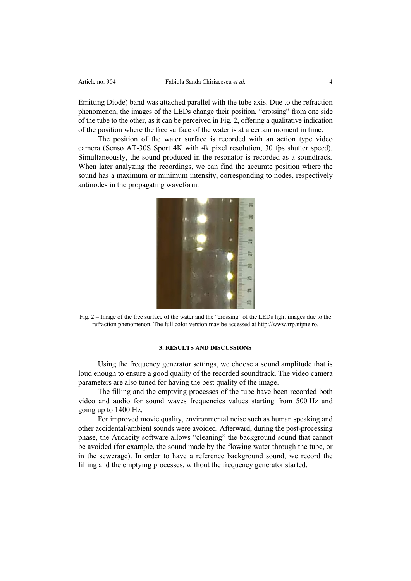Emitting Diode) band was attached parallel with the tube axis. Due to the refraction phenomenon, the images of the LEDs change their position, "crossing" from one side of the tube to the other, as it can be perceived in Fig. 2, offering a qualitative indication of the position where the free surface of the water is at a certain moment in time.

The position of the water surface is recorded with an action type video camera (Senso AT-30S Sport 4K with 4k pixel resolution, 30 fps shutter speed). Simultaneously, the sound produced in the resonator is recorded as a soundtrack. When later analyzing the recordings, we can find the accurate position where the sound has a maximum or minimum intensity, corresponding to nodes, respectively antinodes in the propagating waveform.



Fig. 2 – Image of the free surface of the water and the "crossing" of the LEDs light images due to the refraction phenomenon. The full color version may be accessed at http://www.rrp.nipne.ro.

#### **3. RESULTS AND DISCUSSIONS**

Using the frequency generator settings, we choose a sound amplitude that is loud enough to ensure a good quality of the recorded soundtrack. The video camera parameters are also tuned for having the best quality of the image.

The filling and the emptying processes of the tube have been recorded both video and audio for sound waves frequencies values starting from 500 Hz and going up to 1400 Hz.

For improved movie quality, environmental noise such as human speaking and other accidental/ambient sounds were avoided. Afterward, during the post-processing phase, the Audacity software allows "cleaning" the background sound that cannot be avoided (for example, the sound made by the flowing water through the tube, or in the sewerage). In order to have a reference background sound, we record the filling and the emptying processes, without the frequency generator started.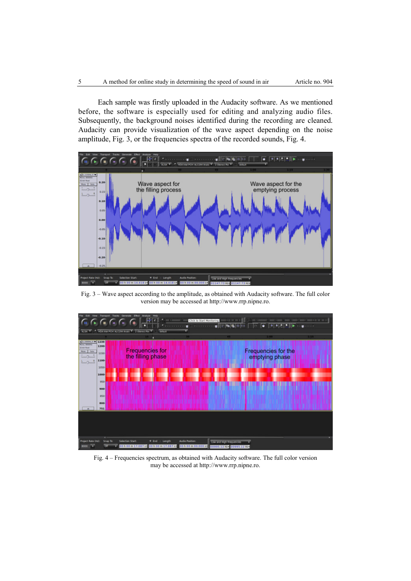Each sample was firstly uploaded in the Audacity software. As we mentioned before, the software is especially used for editing and analyzing audio files. Subsequently, the background noises identified during the recording are cleaned. Audacity can provide visualization of the wave aspect depending on the noise amplitude, Fig. 3, or the frequencies spectra of the recorded sounds, Fig. 4.



Fig. 3 – Wave aspect according to the amplitude, as obtained with Audacity software. The full color version may be accessed at http://www.rrp.nipne.ro.



Fig. 4 – Frequencies spectrum, as obtained with Audacity software. The full color version may be accessed at http://www.rrp.nipne.ro.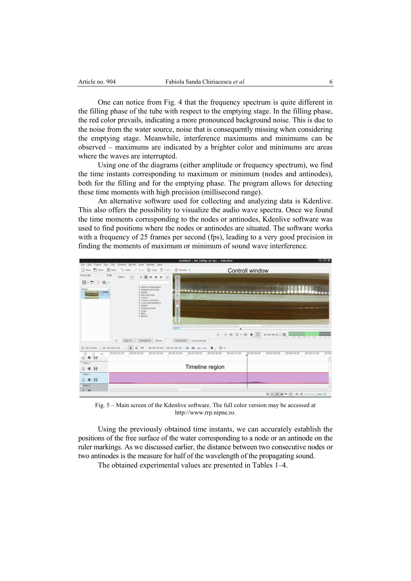One can notice from Fig. 4 that the frequency spectrum is quite different in the filling phase of the tube with respect to the emptying stage. In the filling phase, the red color prevails, indicating a more pronounced background noise. This is due to the noise from the water source, noise that is consequently missing when considering the emptying stage. Meanwhile, interference maximums and minimums can be observed – maximums are indicated by a brighter color and minimums are areas where the waves are interrupted.

Using one of the diagrams (either amplitude or frequency spectrum), we find the time instants corresponding to maximum or minimum (nodes and antinodes), both for the filling and for the emptying phase. The program allows for detecting these time moments with high precision (millisecond range).

An alternative software used for collecting and analyzing data is Kdenlive. This also offers the possibility to visualize the audio wave spectra. Once we found the time moments corresponding to the nodes or antinodes, Kdenlive software was used to find positions where the nodes or antinodes are situated. The software works with a frequency of 25 frames per second (fps), leading to a very good precision in finding the moments of maximum or minimum of sound wave interference.



Fig. 5 – Main screen of the Kdenlive software. The full color version may be accessed at http://www.rrp.nipne.ro.

Using the previously obtained time instants, we can accurately establish the positions of the free surface of the water corresponding to a node or an antinode on the ruler markings. As we discussed earlier, the distance between two consecutive nodes or two antinodes is the measure for half of the wavelength of the propagating sound.

The obtained experimental values are presented in Tables 1–4.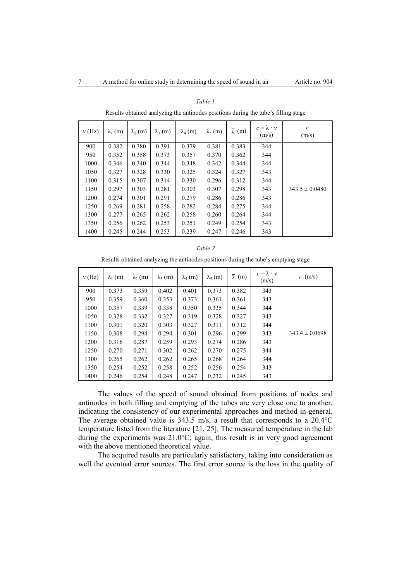| v(Hz) | $\lambda_1$ (m) | $\lambda_2$ (m) | $\lambda_3$ (m) | $\lambda_4$ (m) | $\lambda_5$ (m) | $\bar{\lambda}$ (m) | $c = \lambda \cdot v$<br>(m/s) | $\overline{c}$<br>(m/s) |
|-------|-----------------|-----------------|-----------------|-----------------|-----------------|---------------------|--------------------------------|-------------------------|
| 900   | 0.382           | 0.380           | 0.391           | 0.379           | 0.381           | 0.383               | 344                            |                         |
| 950   | 0.352           | 0.358           | 0.373           | 0.357           | 0.370           | 0.362               | 344                            |                         |
| 1000  | 0.346           | 0.340           | 0.344           | 0.348           | 0.342           | 0.344               | 344                            |                         |
| 1050  | 0.327           | 0.328           | 0.330           | 0.325           | 0.324           | 0.327               | 343                            |                         |
| 1100  | 0.315           | 0.307           | 0.314           | 0.330           | 0.296           | 0.312               | 344                            |                         |
| 1150  | 0.297           | 0.303           | 0.281           | 0.303           | 0.307           | 0.298               | 343                            | $343.5 \pm 0.0480$      |
| 1200  | 0.274           | 0.301           | 0.291           | 0.279           | 0.286           | 0.286               | 343                            |                         |
| 1250  | 0.269           | 0.281           | 0.258           | 0.282           | 0.284           | 0.275               | 344                            |                         |
| 1300  | 0.277           | 0.265           | 0.262           | 0.258           | 0.260           | 0.264               | 344                            |                         |
| 1350  | 0.256           | 0.262           | 0.253           | 0.251           | 0.249           | 0.254               | 343                            |                         |
| 1400  | 0.245           | 0.244           | 0.253           | 0.239           | 0.247           | 0.246               | 343                            |                         |

Results obtained analyzing the antinodes positions during the tube's filling stage

Results obtained analyzing the antinodes positions during the tube's emptying stage

| v(Hz) | $\lambda_1$ (m) | $\lambda_2$ (m) | $\lambda_3$ (m) | $\lambda_4$ (m) | $\lambda_5(m)$ | $\bar{\lambda}$ (m) | $c = \lambda \cdot v$<br>(m/s) | $\bar{c}$ (m/s)    |
|-------|-----------------|-----------------|-----------------|-----------------|----------------|---------------------|--------------------------------|--------------------|
| 900   | 0.373           | 0.359           | 0.402           | 0.401           | 0.373          | 0.382               | 343                            |                    |
| 950   | 0.359           | 0.360           | 0.353           | 0.373           | 0.361          | 0.361               | 343                            |                    |
| 1000  | 0.357           | 0.339           | 0.338           | 0.350           | 0.335          | 0.344               | 344                            |                    |
| 1050  | 0.328           | 0.332           | 0.327           | 0.319           | 0.328          | 0.327               | 343                            |                    |
| 1100  | 0.301           | 0.320           | 0.303           | 0.327           | 0.311          | 0.312               | 344                            |                    |
| 1150  | 0.308           | 0.294           | 0.294           | 0.301           | 0.296          | 0.299               | 343                            | $343.4 \pm 0.0698$ |
| 1200  | 0.316           | 0.287           | 0.259           | 0.293           | 0.274          | 0.286               | 343                            |                    |
| 1250  | 0.270           | 0.271           | 0.302           | 0.262           | 0.270          | 0.275               | 344                            |                    |
| 1300  | 0.265           | 0.262           | 0.262           | 0.265           | 0.268          | 0.264               | 344                            |                    |
| 1350  | 0.254           | 0.252           | 0.258           | 0.252           | 0.256          | 0.254               | 343                            |                    |
| 1400  | 0.246           | 0.254           | 0.248           | 0.247           | 0.232          | 0.245               | 343                            |                    |

The values of the speed of sound obtained from positions of nodes and antinodes in both filling and emptying of the tubes are very close one to another, indicating the consistency of our experimental approaches and method in general. The average obtained value is 343.5 m/s, a result that corresponds to a 20.4°C temperature listed from the literature [21, 25]. The measured temperature in the lab during the experiments was 21.0°C; again, this result is in very good agreement with the above mentioned theoretical value.

The acquired results are particularly satisfactory, taking into consideration as well the eventual error sources. The first error source is the loss in the quality of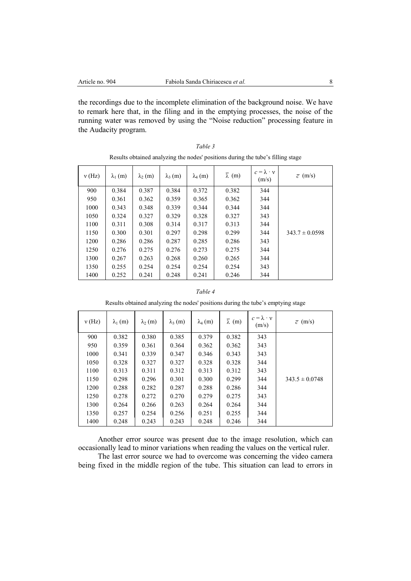the recordings due to the incomplete elimination of the background noise. We have to remark here that, in the filing and in the emptying processes, the noise of the running water was removed by using the "Noise reduction" processing feature in the Audacity program.

| v(Hz) | $\lambda_1$ (m) | $\lambda_2$ (m) | $\lambda_3$ (m) | $\lambda_4$ (m) | $\bar{\lambda}$ (m) | $c = \lambda \cdot v$<br>(m/s) | $\bar{c}$ (m/s)    |
|-------|-----------------|-----------------|-----------------|-----------------|---------------------|--------------------------------|--------------------|
| 900   | 0.384           | 0.387           | 0.384           | 0.372           | 0.382               | 344                            |                    |
| 950   | 0.361           | 0.362           | 0.359           | 0.365           | 0.362               | 344                            |                    |
| 1000  | 0.343           | 0.348           | 0.339           | 0.344           | 0.344               | 344                            |                    |
| 1050  | 0.324           | 0.327           | 0.329           | 0.328           | 0.327               | 343                            |                    |
| 1100  | 0.311           | 0.308           | 0.314           | 0.317           | 0.313               | 344                            |                    |
| 1150  | 0.300           | 0.301           | 0.297           | 0.298           | 0.299               | 344                            | $343.7 \pm 0.0598$ |
| 1200  | 0.286           | 0.286           | 0.287           | 0.285           | 0.286               | 343                            |                    |
| 1250  | 0.276           | 0.275           | 0.276           | 0.273           | 0.275               | 344                            |                    |
| 1300  | 0.267           | 0.263           | 0.268           | 0.260           | 0.265               | 344                            |                    |
| 1350  | 0.255           | 0.254           | 0.254           | 0.254           | 0.254               | 343                            |                    |
| 1400  | 0.252           | 0.241           | 0.248           | 0.241           | 0.246               | 344                            |                    |

| Table 3                                                                         |
|---------------------------------------------------------------------------------|
| Results obtained analyzing the nodes' positions during the tube's filling stage |

| ,, | , |  |  |
|----|---|--|--|
|----|---|--|--|

Results obtained analyzing the nodes' positions during the tube's emptying stage

| v(Hz) | $\lambda_1$ (m) | $\lambda_2$ (m) | $\lambda_3$ (m) | $\lambda_4$ (m) | $\bar{\lambda}$ (m) | $c = \lambda \cdot v$<br>(m/s) | $\bar{c}$ (m/s)    |
|-------|-----------------|-----------------|-----------------|-----------------|---------------------|--------------------------------|--------------------|
| 900   | 0.382           | 0.380           | 0.385           | 0.379           | 0.382               | 343                            |                    |
| 950   | 0.359           | 0.361           | 0.364           | 0.362           | 0.362               | 343                            |                    |
| 1000  | 0.341           | 0.339           | 0.347           | 0.346           | 0.343               | 343                            |                    |
| 1050  | 0.328           | 0.327           | 0.327           | 0.328           | 0.328               | 344                            |                    |
| 1100  | 0.313           | 0.311           | 0.312           | 0.313           | 0.312               | 343                            |                    |
| 1150  | 0.298           | 0.296           | 0.301           | 0.300           | 0.299               | 344                            | $343.5 \pm 0.0748$ |
| 1200  | 0.288           | 0.282           | 0.287           | 0.288           | 0.286               | 344                            |                    |
| 1250  | 0.278           | 0.272           | 0.270           | 0.279           | 0.275               | 343                            |                    |
| 1300  | 0.264           | 0.266           | 0.263           | 0.264           | 0.264               | 344                            |                    |
| 1350  | 0.257           | 0.254           | 0.256           | 0.251           | 0.255               | 344                            |                    |
| 1400  | 0.248           | 0.243           | 0.243           | 0.248           | 0.246               | 344                            |                    |

Another error source was present due to the image resolution, which can occasionally lead to minor variations when reading the values on the vertical ruler.

The last error source we had to overcome was concerning the video camera being fixed in the middle region of the tube. This situation can lead to errors in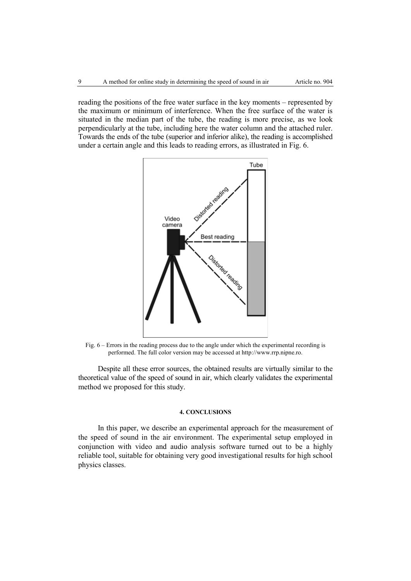reading the positions of the free water surface in the key moments – represented by the maximum or minimum of interference. When the free surface of the water is situated in the median part of the tube, the reading is more precise, as we look perpendicularly at the tube, including here the water column and the attached ruler. Towards the ends of the tube (superior and inferior alike), the reading is accomplished under a certain angle and this leads to reading errors, as illustrated in Fig. 6.



Fig. 6 – Errors in the reading process due to the angle under which the experimental recording is performed. The full color version may be accessed at http://www.rrp.nipne.ro.

Despite all these error sources, the obtained results are virtually similar to the theoretical value of the speed of sound in air, which clearly validates the experimental method we proposed for this study.

# **4. CONCLUSIONS**

In this paper, we describe an experimental approach for the measurement of the speed of sound in the air environment. The experimental setup employed in conjunction with video and audio analysis software turned out to be a highly reliable tool, suitable for obtaining very good investigational results for high school physics classes.